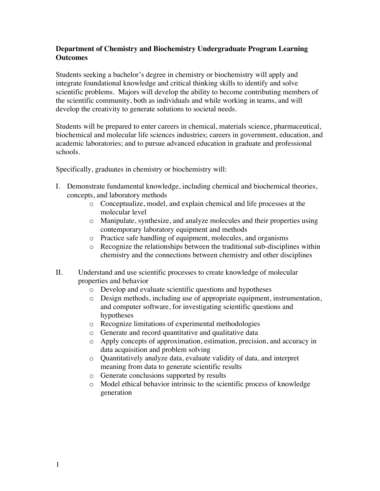## **Department of Chemistry and Biochemistry Undergraduate Program Learning Outcomes**

Students seeking a bachelor's degree in chemistry or biochemistry will apply and integrate foundational knowledge and critical thinking skills to identify and solve scientific problems. Majors will develop the ability to become contributing members of the scientific community, both as individuals and while working in teams, and will develop the creativity to generate solutions to societal needs.

Students will be prepared to enter careers in chemical, materials science, pharmaceutical, biochemical and molecular life sciences industries; careers in government, education, and academic laboratories; and to pursue advanced education in graduate and professional schools.

Specifically, graduates in chemistry or biochemistry will:

- I. Demonstrate fundamental knowledge, including chemical and biochemical theories, concepts, and laboratory methods
	- o Conceptualize, model, and explain chemical and life processes at the molecular level
	- o Manipulate, synthesize, and analyze molecules and their properties using contemporary laboratory equipment and methods
	- o Practice safe handling of equipment, molecules, and organisms
	- o Recognize the relationships between the traditional sub-disciplines within chemistry and the connections between chemistry and other disciplines
- II. Understand and use scientific processes to create knowledge of molecular properties and behavior
	- o Develop and evaluate scientific questions and hypotheses
	- o Design methods, including use of appropriate equipment, instrumentation, and computer software, for investigating scientific questions and hypotheses
	- o Recognize limitations of experimental methodologies
	- o Generate and record quantitative and qualitative data
	- o Apply concepts of approximation, estimation, precision, and accuracy in data acquisition and problem solving
	- o Quantitatively analyze data, evaluate validity of data, and interpret meaning from data to generate scientific results
	- o Generate conclusions supported by results
	- o Model ethical behavior intrinsic to the scientific process of knowledge generation